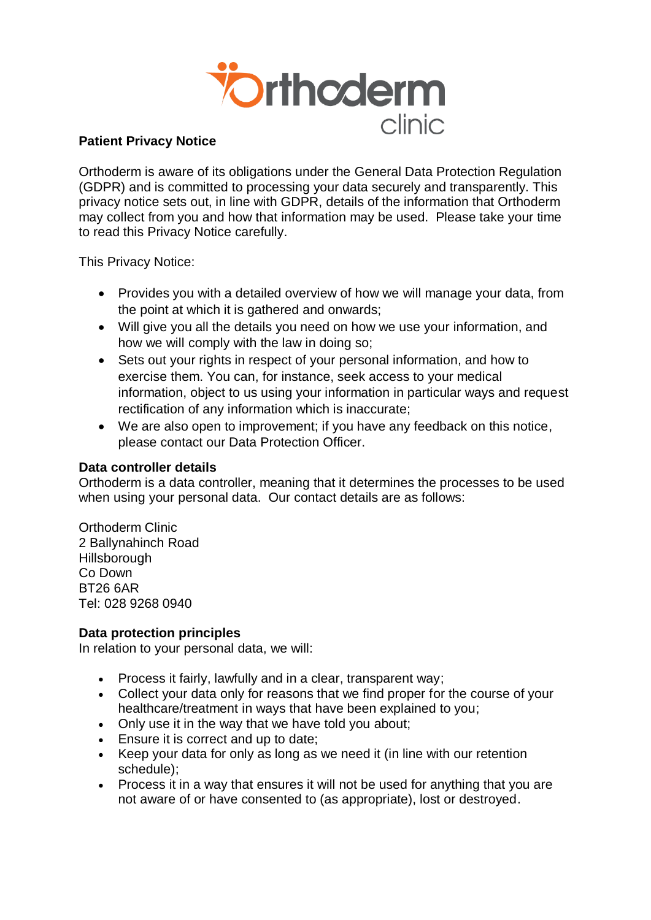

# **Patient Privacy Notice**

Orthoderm is aware of its obligations under the General Data Protection Regulation (GDPR) and is committed to processing your data securely and transparently. This privacy notice sets out, in line with GDPR, details of the information that Orthoderm may collect from you and how that information may be used. Please take your time to read this Privacy Notice carefully.

This Privacy Notice:

- Provides you with a detailed overview of how we will manage your data, from the point at which it is gathered and onwards;
- Will give you all the details you need on how we use your information, and how we will comply with the law in doing so;
- Sets out your rights in respect of your personal information, and how to exercise them. You can, for instance, seek access to your medical information, object to us using your information in particular ways and request rectification of any information which is inaccurate;
- We are also open to improvement; if you have any feedback on this notice, please contact our Data Protection Officer.

#### **Data controller details**

Orthoderm is a data controller, meaning that it determines the processes to be used when using your personal data. Our contact details are as follows:

Orthoderm Clinic 2 Ballynahinch Road **Hillsborough** Co Down BT26 6AR Tel: 028 9268 0940

#### **Data protection principles**

In relation to your personal data, we will:

- Process it fairly, lawfully and in a clear, transparent way;
- Collect your data only for reasons that we find proper for the course of your healthcare/treatment in ways that have been explained to you;
- Only use it in the way that we have told you about;
- **Ensure it is correct and up to date:**
- Keep your data for only as long as we need it (in line with our retention schedule);
- Process it in a way that ensures it will not be used for anything that you are not aware of or have consented to (as appropriate), lost or destroyed.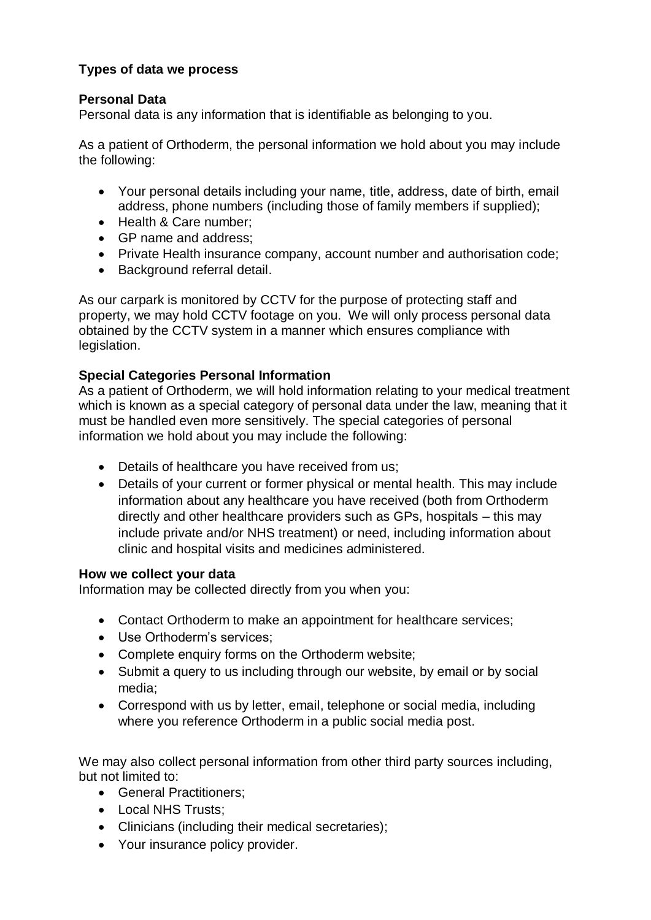# **Types of data we process**

# **Personal Data**

Personal data is any information that is identifiable as belonging to you.

As a patient of Orthoderm, the personal information we hold about you may include the following:

- Your personal details including your name, title, address, date of birth, email address, phone numbers (including those of family members if supplied);
- Health & Care number:
- GP name and address;
- Private Health insurance company, account number and authorisation code;
- Background referral detail.

As our carpark is monitored by CCTV for the purpose of protecting staff and property, we may hold CCTV footage on you. We will only process personal data obtained by the CCTV system in a manner which ensures compliance with legislation.

## **Special Categories Personal Information**

As a patient of Orthoderm, we will hold information relating to your medical treatment which is known as a special category of personal data under the law, meaning that it must be handled even more sensitively. The special categories of personal information we hold about you may include the following:

- Details of healthcare you have received from us;
- Details of your current or former physical or mental health. This may include information about any healthcare you have received (both from Orthoderm directly and other healthcare providers such as GPs, hospitals – this may include private and/or NHS treatment) or need, including information about clinic and hospital visits and medicines administered.

#### **How we collect your data**

Information may be collected directly from you when you:

- Contact Orthoderm to make an appointment for healthcare services;
- Use Orthoderm's services;
- Complete enquiry forms on the Orthoderm website;
- Submit a query to us including through our website, by email or by social media;
- Correspond with us by letter, email, telephone or social media, including where you reference Orthoderm in a public social media post.

We may also collect personal information from other third party sources including. but not limited to:

- General Practitioners;
- Local NHS Trusts:
- Clinicians (including their medical secretaries);
- Your insurance policy provider.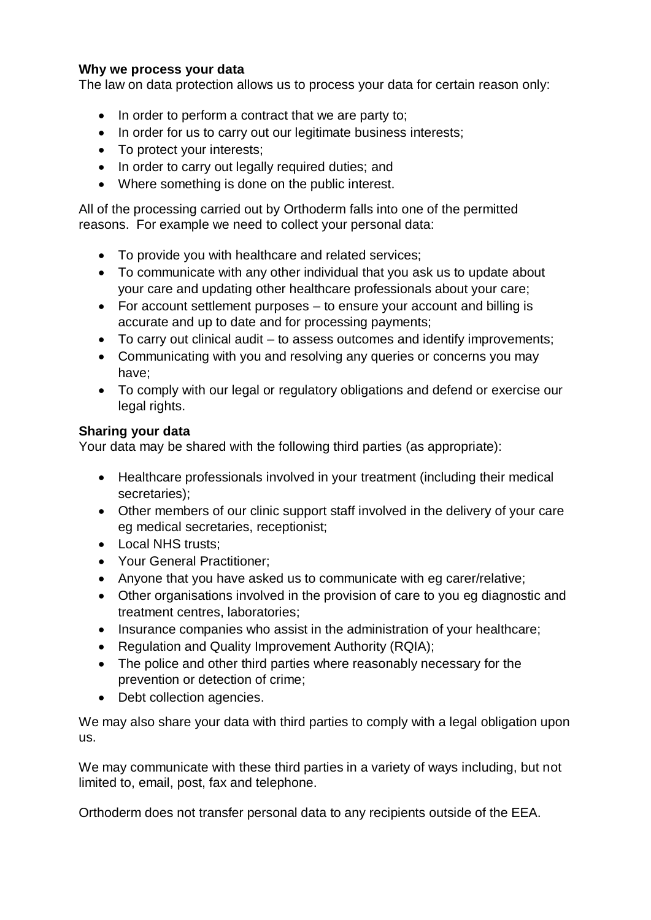# **Why we process your data**

The law on data protection allows us to process your data for certain reason only:

- In order to perform a contract that we are party to;
- In order for us to carry out our legitimate business interests;
- To protect your interests;
- In order to carry out legally required duties; and
- Where something is done on the public interest.

All of the processing carried out by Orthoderm falls into one of the permitted reasons. For example we need to collect your personal data:

- To provide you with healthcare and related services;
- To communicate with any other individual that you ask us to update about your care and updating other healthcare professionals about your care;
- For account settlement purposes to ensure your account and billing is accurate and up to date and for processing payments;
- To carry out clinical audit to assess outcomes and identify improvements;
- Communicating with you and resolving any queries or concerns you may have;
- To comply with our legal or regulatory obligations and defend or exercise our legal rights.

## **Sharing your data**

Your data may be shared with the following third parties (as appropriate):

- Healthcare professionals involved in your treatment (including their medical secretaries);
- Other members of our clinic support staff involved in the delivery of your care eg medical secretaries, receptionist;
- Local NHS trusts:
- Your General Practitioner;
- Anyone that you have asked us to communicate with eg carer/relative;
- Other organisations involved in the provision of care to you eg diagnostic and treatment centres, laboratories;
- Insurance companies who assist in the administration of your healthcare;
- Regulation and Quality Improvement Authority (RQIA);
- The police and other third parties where reasonably necessary for the prevention or detection of crime;
- Debt collection agencies.

We may also share your data with third parties to comply with a legal obligation upon us.

We may communicate with these third parties in a variety of ways including, but not limited to, email, post, fax and telephone.

Orthoderm does not transfer personal data to any recipients outside of the EEA.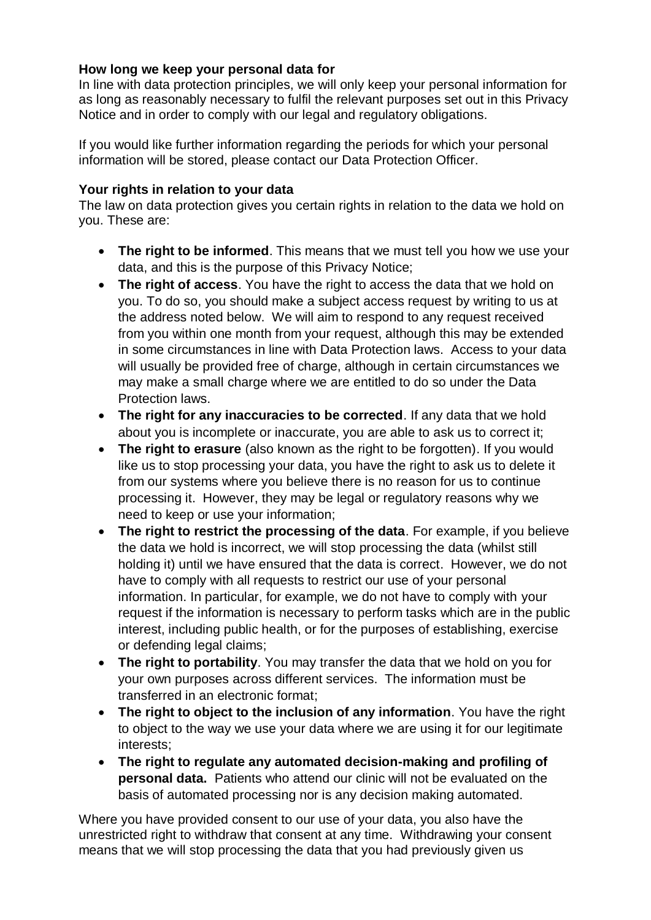# **How long we keep your personal data for**

In line with data protection principles, we will only keep your personal information for as long as reasonably necessary to fulfil the relevant purposes set out in this Privacy Notice and in order to comply with our legal and regulatory obligations.

If you would like further information regarding the periods for which your personal information will be stored, please contact our Data Protection Officer.

### **Your rights in relation to your data**

The law on data protection gives you certain rights in relation to the data we hold on you. These are:

- **The right to be informed**. This means that we must tell you how we use your data, and this is the purpose of this Privacy Notice;
- **The right of access**. You have the right to access the data that we hold on you. To do so, you should make a subject access request by writing to us at the address noted below. We will aim to respond to any request received from you within one month from your request, although this may be extended in some circumstances in line with Data Protection laws. Access to your data will usually be provided free of charge, although in certain circumstances we may make a small charge where we are entitled to do so under the Data Protection laws.
- **The right for any inaccuracies to be corrected**. If any data that we hold about you is incomplete or inaccurate, you are able to ask us to correct it;
- **The right to erasure** (also known as the right to be forgotten). If you would like us to stop processing your data, you have the right to ask us to delete it from our systems where you believe there is no reason for us to continue processing it. However, they may be legal or regulatory reasons why we need to keep or use your information;
- **The right to restrict the processing of the data**. For example, if you believe the data we hold is incorrect, we will stop processing the data (whilst still holding it) until we have ensured that the data is correct. However, we do not have to comply with all requests to restrict our use of your personal information. In particular, for example, we do not have to comply with your request if the information is necessary to perform tasks which are in the public interest, including public health, or for the purposes of establishing, exercise or defending legal claims;
- **The right to portability**. You may transfer the data that we hold on you for your own purposes across different services. The information must be transferred in an electronic format;
- **The right to object to the inclusion of any information**. You have the right to object to the way we use your data where we are using it for our legitimate interests;
- **The right to regulate any automated decision-making and profiling of personal data.** Patients who attend our clinic will not be evaluated on the basis of automated processing nor is any decision making automated.

Where you have provided consent to our use of your data, you also have the unrestricted right to withdraw that consent at any time. Withdrawing your consent means that we will stop processing the data that you had previously given us